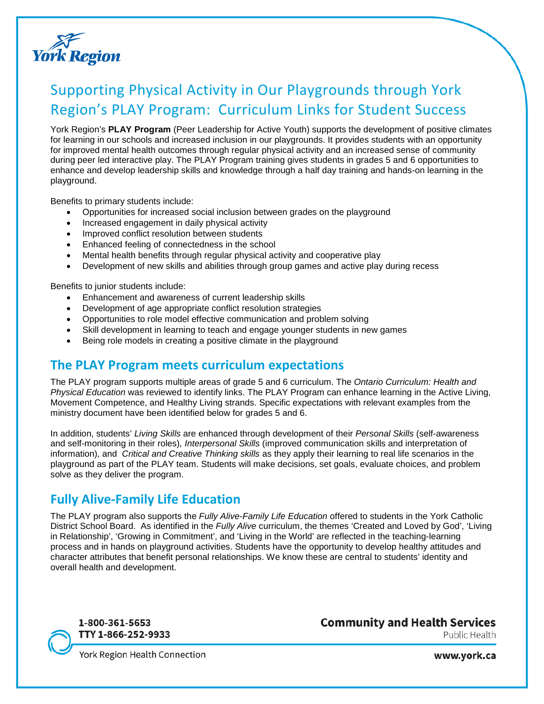

# Supporting Physical Activity in Our Playgrounds through York Region's PLAY Program: Curriculum Links for Student Success

York Region's **PLAY Program** (Peer Leadership for Active Youth) supports the development of positive climates for learning in our schools and increased inclusion in our playgrounds. It provides students with an opportunity for improved mental health outcomes through regular physical activity and an increased sense of community during peer led interactive play. The PLAY Program training gives students in grades 5 and 6 opportunities to enhance and develop leadership skills and knowledge through a half day training and hands-on learning in the playground.

Benefits to primary students include:

- Opportunities for increased social inclusion between grades on the playground
- Increased engagement in daily physical activity
- Improved conflict resolution between students
- Enhanced feeling of connectedness in the school
- Mental health benefits through regular physical activity and cooperative play
- Development of new skills and abilities through group games and active play during recess

Benefits to junior students include:

- Enhancement and awareness of current leadership skills
- Development of age appropriate conflict resolution strategies
- Opportunities to role model effective communication and problem solving
- Skill development in learning to teach and engage younger students in new games
- Being role models in creating a positive climate in the playground

## **The PLAY Program meets curriculum expectations**

The PLAY program supports multiple areas of grade 5 and 6 curriculum. The *Ontario Curriculum: Health and Physical Education* was reviewed to identify links. The PLAY Program can enhance learning in the Active Living, Movement Competence, and Healthy Living strands. Specific expectations with relevant examples from the ministry document have been identified below for grades 5 and 6.

In addition, students' *Living Skills* are enhanced through development of their *Personal Skills* (self-awareness and self-monitoring in their roles)*, Interpersonal Skills* (improved communication skills and interpretation of information), and *Critical and Creative Thinking skills* as they apply their learning to real life scenarios in the playground as part of the PLAY team. Students will make decisions, set goals, evaluate choices, and problem solve as they deliver the program.

# **Fully Alive-Family Life Education**

The PLAY program also supports the *Fully Alive-Family Life Education* offered to students in the York Catholic District School Board. As identified in the *Fully Alive* curriculum, the themes 'Created and Loved by God', 'Living in Relationship', 'Growing in Commitment', and 'Living in the World' are reflected in the teaching-learning process and in hands on playground activities. Students have the opportunity to develop healthy attitudes and character attributes that benefit personal relationships. We know these are central to students' identity and overall health and development.



**Community and Health Services** Public Health

**York Region Health Connection** 

www.york.ca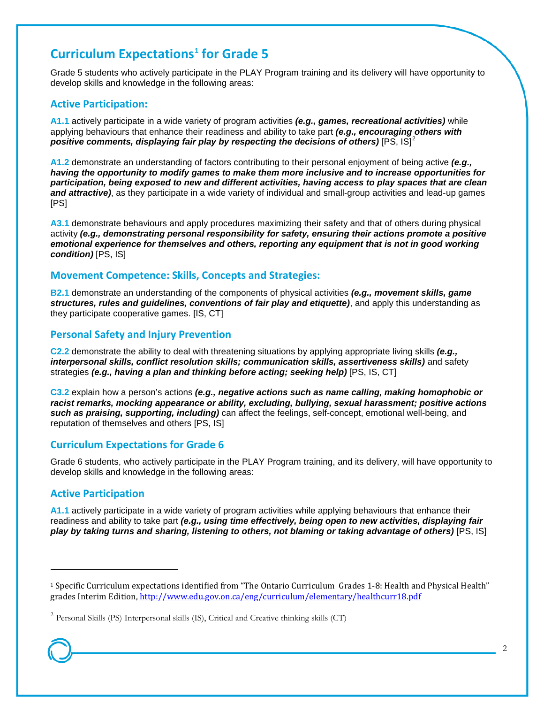## **Curriculum Expectations[1](#page-1-0) for Grade 5**

Grade 5 students who actively participate in the PLAY Program training and its delivery will have opportunity to develop skills and knowledge in the following areas:

#### **Active Participation:**

**A1.1** actively participate in a wide variety of program activities *(e.g., games, recreational activities)* while applying behaviours that enhance their readiness and ability to take part *(e.g., encouraging others with positive comments, displaying fair play by respecting the decisions of others)* [PS, IS]<sup>[2](#page-1-1)</sup>

**A1.2** demonstrate an understanding of factors contributing to their personal enjoyment of being active *(e.g., having the opportunity to modify games to make them more inclusive and to increase opportunities for participation, being exposed to new and different activities, having access to play spaces that are clean and attractive)*, as they participate in a wide variety of individual and small-group activities and lead-up games [PS]

**A3.1** demonstrate behaviours and apply procedures maximizing their safety and that of others during physical activity *(e.g., demonstrating personal responsibility for safety, ensuring their actions promote a positive emotional experience for themselves and others, reporting any equipment that is not in good working condition)* [PS, IS]

#### **Movement Competence: Skills, Concepts and Strategies:**

**B2.1** demonstrate an understanding of the components of physical activities *(e.g., movement skills, game structures, rules and guidelines, conventions of fair play and etiquette)*, and apply this understanding as they participate cooperative games. [IS, CT]

#### **Personal Safety and Injury Prevention**

**C2.2** demonstrate the ability to deal with threatening situations by applying appropriate living skills *(e.g., interpersonal skills, conflict resolution skills; communication skills, assertiveness skills)* and safety strategies (e.g., having a plan and thinking before acting; seeking help) [PS, IS, CT]

**C3.2** explain how a person's actions *(e.g., negative actions such as name calling, making homophobic or racist remarks, mocking appearance or ability, excluding, bullying, sexual harassment; positive actions such as praising, supporting, including)* can affect the feelings, self-concept, emotional well-being, and reputation of themselves and others [PS, IS]

#### **Curriculum Expectations for Grade 6**

Grade 6 students, who actively participate in the PLAY Program training, and its delivery, will have opportunity to develop skills and knowledge in the following areas:

### **Active Participation**

**A1.1** actively participate in a wide variety of program activities while applying behaviours that enhance their readiness and ability to take part *(e.g., using time effectively, being open to new activities, displaying fair play by taking turns and sharing, listening to others, not blaming or taking advantage of others)* [PS, IS]

 $\overline{a}$ 

<span id="page-1-0"></span><sup>1</sup> Specific Curriculum expectations identified from "The Ontario Curriculum Grades 1-8: Health and Physical Health" grades Interim Edition[, http://www.edu.gov.on.ca/eng/curriculum/elementary/healthcurr18.pdf](http://www.edu.gov.on.ca/eng/curriculum/elementary/healthcurr18.pdf)

<span id="page-1-1"></span> $2$  Personal Skills (PS) Interpersonal skills (IS), Critical and Creative thinking skills (CT)